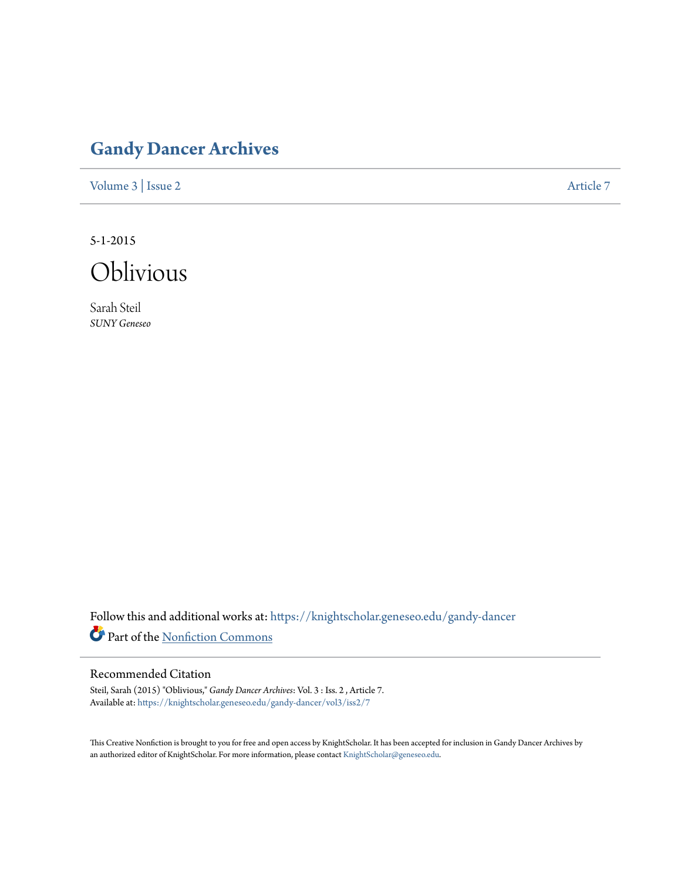# **[Gandy Dancer Archives](https://knightscholar.geneseo.edu/gandy-dancer?utm_source=knightscholar.geneseo.edu%2Fgandy-dancer%2Fvol3%2Fiss2%2F7&utm_medium=PDF&utm_campaign=PDFCoverPages)**

[Volume 3](https://knightscholar.geneseo.edu/gandy-dancer/vol3?utm_source=knightscholar.geneseo.edu%2Fgandy-dancer%2Fvol3%2Fiss2%2F7&utm_medium=PDF&utm_campaign=PDFCoverPages) | [Issue 2](https://knightscholar.geneseo.edu/gandy-dancer/vol3/iss2?utm_source=knightscholar.geneseo.edu%2Fgandy-dancer%2Fvol3%2Fiss2%2F7&utm_medium=PDF&utm_campaign=PDFCoverPages) [Article 7](https://knightscholar.geneseo.edu/gandy-dancer/vol3/iss2/7?utm_source=knightscholar.geneseo.edu%2Fgandy-dancer%2Fvol3%2Fiss2%2F7&utm_medium=PDF&utm_campaign=PDFCoverPages)

5-1-2015



Sarah Steil *SUNY Geneseo*

Follow this and additional works at: [https://knightscholar.geneseo.edu/gandy-dancer](https://knightscholar.geneseo.edu/gandy-dancer?utm_source=knightscholar.geneseo.edu%2Fgandy-dancer%2Fvol3%2Fiss2%2F7&utm_medium=PDF&utm_campaign=PDFCoverPages) Part of the [Nonfiction Commons](http://network.bepress.com/hgg/discipline/1152?utm_source=knightscholar.geneseo.edu%2Fgandy-dancer%2Fvol3%2Fiss2%2F7&utm_medium=PDF&utm_campaign=PDFCoverPages)

# Recommended Citation

Steil, Sarah (2015) "Oblivious," *Gandy Dancer Archives*: Vol. 3 : Iss. 2 , Article 7. Available at: [https://knightscholar.geneseo.edu/gandy-dancer/vol3/iss2/7](https://knightscholar.geneseo.edu/gandy-dancer/vol3/iss2/7?utm_source=knightscholar.geneseo.edu%2Fgandy-dancer%2Fvol3%2Fiss2%2F7&utm_medium=PDF&utm_campaign=PDFCoverPages)

This Creative Nonfiction is brought to you for free and open access by KnightScholar. It has been accepted for inclusion in Gandy Dancer Archives by an authorized editor of KnightScholar. For more information, please contact [KnightScholar@geneseo.edu](mailto:KnightScholar@geneseo.edu).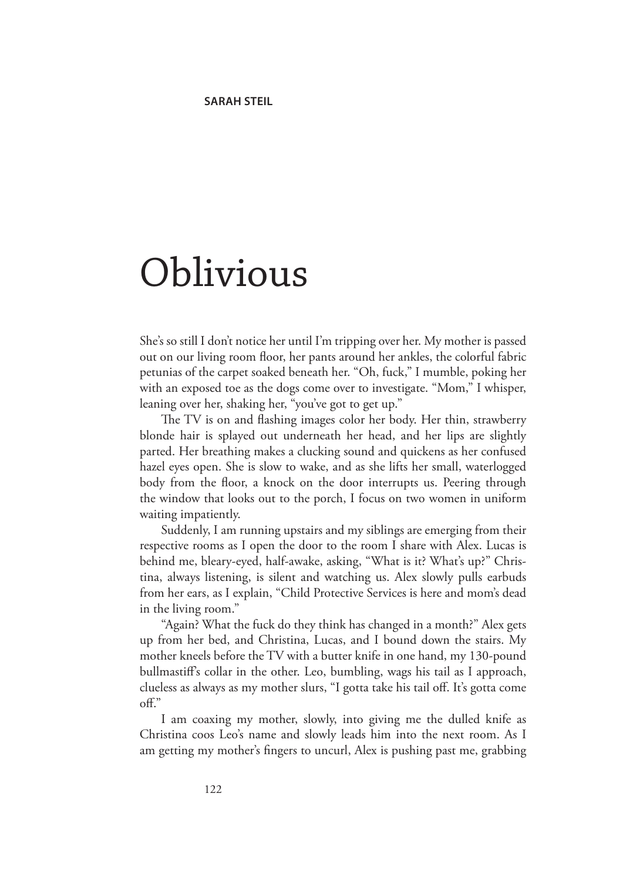# Oblivious

She's so still I don't notice her until I'm tripping over her. My mother is passed out on our living room floor, her pants around her ankles, the colorful fabric petunias of the carpet soaked beneath her. "Oh, fuck," I mumble, poking her with an exposed toe as the dogs come over to investigate. "Mom," I whisper, leaning over her, shaking her, "you've got to get up."

The TV is on and flashing images color her body. Her thin, strawberry blonde hair is splayed out underneath her head, and her lips are slightly parted. Her breathing makes a clucking sound and quickens as her confused hazel eyes open. She is slow to wake, and as she lifts her small, waterlogged body from the floor, a knock on the door interrupts us. Peering through the window that looks out to the porch, I focus on two women in uniform waiting impatiently.

Suddenly, I am running upstairs and my siblings are emerging from their respective rooms as I open the door to the room I share with Alex. Lucas is behind me, bleary-eyed, half-awake, asking, "What is it? What's up?" Christina, always listening, is silent and watching us. Alex slowly pulls earbuds from her ears, as I explain, "Child Protective Services is here and mom's dead in the living room."

"Again? What the fuck do they think has changed in a month?" Alex gets up from her bed, and Christina, Lucas, and I bound down the stairs. My mother kneels before the TV with a butter knife in one hand, my 130-pound bullmastiff's collar in the other. Leo, bumbling, wags his tail as I approach, clueless as always as my mother slurs, "I gotta take his tail off. It's gotta come off."

I am coaxing my mother, slowly, into giving me the dulled knife as Christina coos Leo's name and slowly leads him into the next room. As I am getting my mother's fingers to uncurl, Alex is pushing past me, grabbing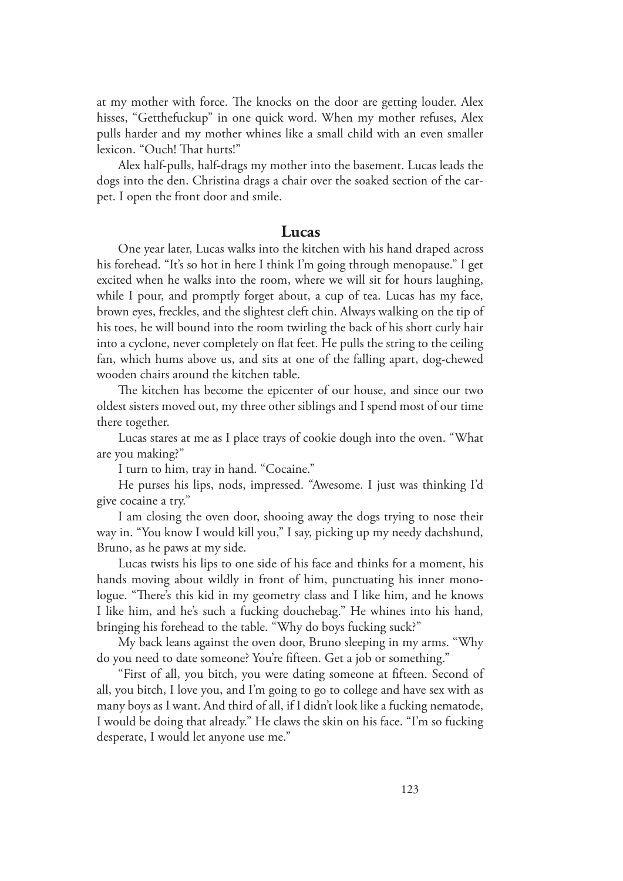at my mother with force. The knocks on the door are getting louder. Alex hisses, "Getthefuckup" in one quick word. When my mother refuses, Alex pulls harder and my mother whines like a small child with an even smaller lexicon. "Ouch! That hurts!"

Alex half-pulls, half-drags my mother into the basement. Lucas leads the dogs into the den. Christina drags a chair over the soaked section of the carpet. I open the front door and smile.

#### **Lucas**

One year later, Lucas walks into the kitchen with his hand draped across his forehead. "It's so hot in here I think I'm going through menopause." I get excited when he walks into the room, where we will sit for hours laughing, while I pour, and promptly forget about, a cup of tea. Lucas has my face, brown eyes, freckles, and the slightest cleft chin. Always walking on the tip of his toes, he will bound into the room twirling the back of his short curly hair into a cyclone, never completely on flat feet. He pulls the string to the ceiling fan, which hums above us, and sits at one of the falling apart, dog-chewed wooden chairs around the kitchen table.

The kitchen has become the epicenter of our house, and since our two oldest sisters moved out, my three other siblings and I spend most of our time there together.

Lucas stares at me as I place trays of cookie dough into the oven. "What are you making?"

I turn to him, tray in hand. "Cocaine."

He purses his lips, nods, impressed. "Awesome. I just was thinking I'd give cocaine a try."

I am closing the oven door, shooing away the dogs trying to nose their way in. "You know I would kill you," I say, picking up my needy dachshund, Bruno, as he paws at my side.

Lucas twists his lips to one side of his face and thinks for a moment, his hands moving about wildly in front of him, punctuating his inner monologue. "There's this kid in my geometry class and I like him, and he knows I like him, and he's such a fucking douchebag." He whines into his hand, bringing his forehead to the table. "Why do boys fucking suck?"

My back leans against the oven door, Bruno sleeping in my arms. "Why do you need to date someone? You're fifteen. Get a job or something."

"First of all, you bitch, you were dating someone at fifteen. Second of all, you bitch, I love you, and I'm going to go to college and have sex with as many boys as I want. And third of all, if I didn't look like a fucking nematode, I would be doing that already." He claws the skin on his face. "I'm so fucking desperate, I would let anyone use me."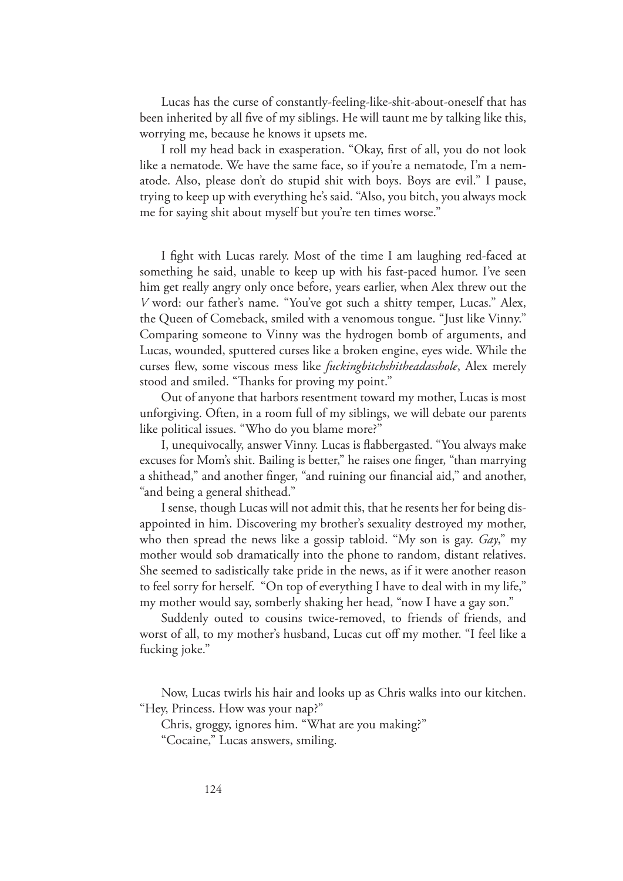Lucas has the curse of constantly-feeling-like-shit-about-oneself that has been inherited by all five of my siblings. He will taunt me by talking like this, worrying me, because he knows it upsets me.

I roll my head back in exasperation. "Okay, first of all, you do not look like a nematode. We have the same face, so if you're a nematode, I'm a nematode. Also, please don't do stupid shit with boys. Boys are evil." I pause, trying to keep up with everything he's said. "Also, you bitch, you always mock me for saying shit about myself but you're ten times worse."

I fight with Lucas rarely. Most of the time I am laughing red-faced at something he said, unable to keep up with his fast-paced humor. I've seen him get really angry only once before, years earlier, when Alex threw out the *V* word: our father's name. "You've got such a shitty temper, Lucas." Alex, the Queen of Comeback, smiled with a venomous tongue. "Just like Vinny." Comparing someone to Vinny was the hydrogen bomb of arguments, and Lucas, wounded, sputtered curses like a broken engine, eyes wide. While the curses flew, some viscous mess like *fuckingbitchshitheadasshole*, Alex merely stood and smiled. "Thanks for proving my point."

Out of anyone that harbors resentment toward my mother, Lucas is most unforgiving. Often, in a room full of my siblings, we will debate our parents like political issues. "Who do you blame more?"

I, unequivocally, answer Vinny. Lucas is flabbergasted. "You always make excuses for Mom's shit. Bailing is better," he raises one finger, "than marrying a shithead," and another finger, "and ruining our financial aid," and another, "and being a general shithead."

I sense, though Lucas will not admit this, that he resents her for being disappointed in him. Discovering my brother's sexuality destroyed my mother, who then spread the news like a gossip tabloid. "My son is gay. *Gay*," my mother would sob dramatically into the phone to random, distant relatives. She seemed to sadistically take pride in the news, as if it were another reason to feel sorry for herself. "On top of everything I have to deal with in my life," my mother would say, somberly shaking her head, "now I have a gay son."

Suddenly outed to cousins twice-removed, to friends of friends, and worst of all, to my mother's husband, Lucas cut off my mother. "I feel like a fucking joke."

Now, Lucas twirls his hair and looks up as Chris walks into our kitchen. "Hey, Princess. How was your nap?"

Chris, groggy, ignores him. "What are you making?"

<sup>&</sup>quot;Cocaine," Lucas answers, smiling.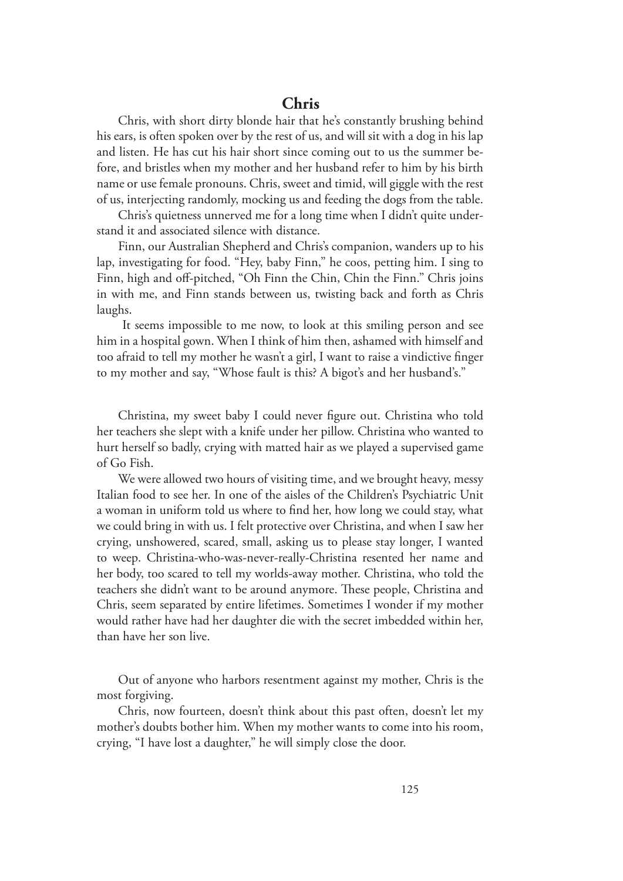# **Chris**

Chris, with short dirty blonde hair that he's constantly brushing behind his ears, is often spoken over by the rest of us, and will sit with a dog in his lap and listen. He has cut his hair short since coming out to us the summer before, and bristles when my mother and her husband refer to him by his birth name or use female pronouns. Chris, sweet and timid, will giggle with the rest of us, interjecting randomly, mocking us and feeding the dogs from the table.

Chris's quietness unnerved me for a long time when I didn't quite understand it and associated silence with distance.

Finn, our Australian Shepherd and Chris's companion, wanders up to his lap, investigating for food. "Hey, baby Finn," he coos, petting him. I sing to Finn, high and off-pitched, "Oh Finn the Chin, Chin the Finn." Chris joins in with me, and Finn stands between us, twisting back and forth as Chris laughs.

 It seems impossible to me now, to look at this smiling person and see him in a hospital gown. When I think of him then, ashamed with himself and too afraid to tell my mother he wasn't a girl, I want to raise a vindictive finger to my mother and say, "Whose fault is this? A bigot's and her husband's."

Christina, my sweet baby I could never figure out. Christina who told her teachers she slept with a knife under her pillow. Christina who wanted to hurt herself so badly, crying with matted hair as we played a supervised game of Go Fish.

We were allowed two hours of visiting time, and we brought heavy, messy Italian food to see her. In one of the aisles of the Children's Psychiatric Unit a woman in uniform told us where to find her, how long we could stay, what we could bring in with us. I felt protective over Christina, and when I saw her crying, unshowered, scared, small, asking us to please stay longer, I wanted to weep. Christina-who-was-never-really-Christina resented her name and her body, too scared to tell my worlds-away mother. Christina, who told the teachers she didn't want to be around anymore. These people, Christina and Chris, seem separated by entire lifetimes. Sometimes I wonder if my mother would rather have had her daughter die with the secret imbedded within her, than have her son live.

Out of anyone who harbors resentment against my mother, Chris is the most forgiving.

Chris, now fourteen, doesn't think about this past often, doesn't let my mother's doubts bother him. When my mother wants to come into his room, crying, "I have lost a daughter," he will simply close the door.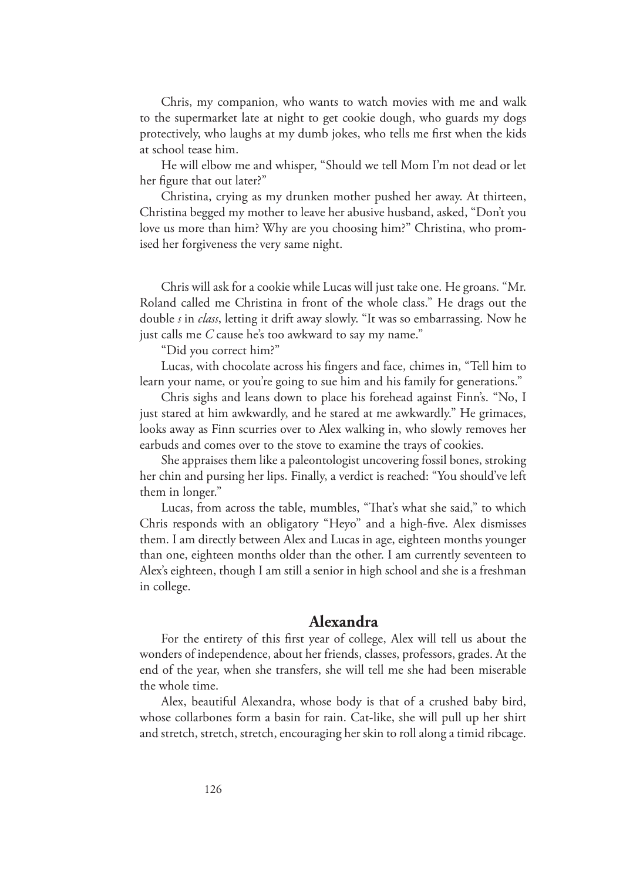Chris, my companion, who wants to watch movies with me and walk to the supermarket late at night to get cookie dough, who guards my dogs protectively, who laughs at my dumb jokes, who tells me first when the kids at school tease him.

He will elbow me and whisper, "Should we tell Mom I'm not dead or let her figure that out later?"

Christina, crying as my drunken mother pushed her away. At thirteen, Christina begged my mother to leave her abusive husband, asked, "Don't you love us more than him? Why are you choosing him?" Christina, who promised her forgiveness the very same night.

Chris will ask for a cookie while Lucas will just take one. He groans. "Mr. Roland called me Christina in front of the whole class." He drags out the double *s* in *class*, letting it drift away slowly. "It was so embarrassing. Now he just calls me *C* cause he's too awkward to say my name."

"Did you correct him?"

Lucas, with chocolate across his fingers and face, chimes in, "Tell him to learn your name, or you're going to sue him and his family for generations."

Chris sighs and leans down to place his forehead against Finn's. "No, I just stared at him awkwardly, and he stared at me awkwardly." He grimaces, looks away as Finn scurries over to Alex walking in, who slowly removes her earbuds and comes over to the stove to examine the trays of cookies.

She appraises them like a paleontologist uncovering fossil bones, stroking her chin and pursing her lips. Finally, a verdict is reached: "You should've left them in longer."

Lucas, from across the table, mumbles, "That's what she said," to which Chris responds with an obligatory "Heyo" and a high-five. Alex dismisses them. I am directly between Alex and Lucas in age, eighteen months younger than one, eighteen months older than the other. I am currently seventeen to Alex's eighteen, though I am still a senior in high school and she is a freshman in college.

## **Alexandra**

For the entirety of this first year of college, Alex will tell us about the wonders of independence, about her friends, classes, professors, grades. At the end of the year, when she transfers, she will tell me she had been miserable the whole time.

Alex, beautiful Alexandra, whose body is that of a crushed baby bird, whose collarbones form a basin for rain. Cat-like, she will pull up her shirt and stretch, stretch, stretch, encouraging her skin to roll along a timid ribcage.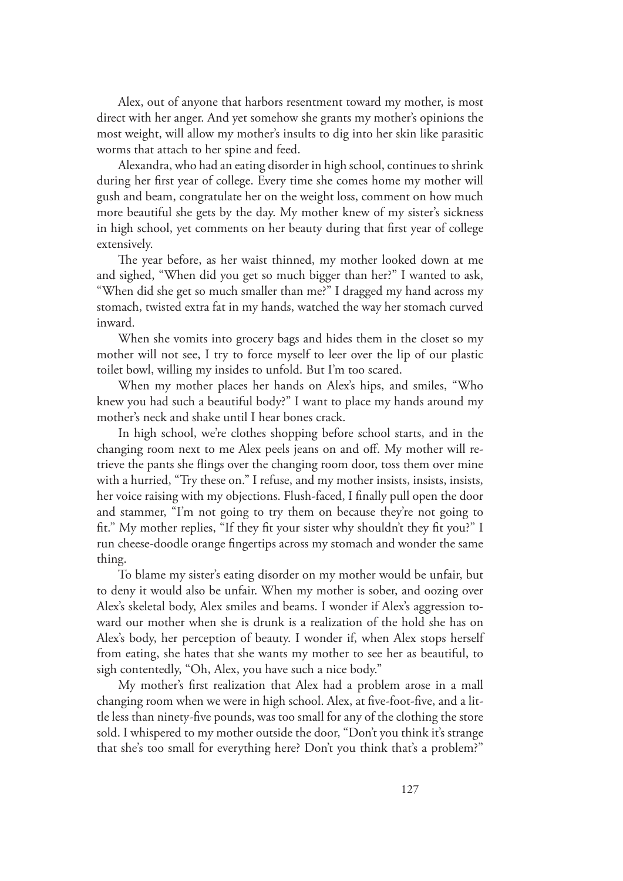Alex, out of anyone that harbors resentment toward my mother, is most direct with her anger. And yet somehow she grants my mother's opinions the most weight, will allow my mother's insults to dig into her skin like parasitic worms that attach to her spine and feed.

Alexandra, who had an eating disorder in high school, continues to shrink during her first year of college. Every time she comes home my mother will gush and beam, congratulate her on the weight loss, comment on how much more beautiful she gets by the day. My mother knew of my sister's sickness in high school, yet comments on her beauty during that first year of college extensively.

The year before, as her waist thinned, my mother looked down at me and sighed, "When did you get so much bigger than her?" I wanted to ask, "When did she get so much smaller than me?" I dragged my hand across my stomach, twisted extra fat in my hands, watched the way her stomach curved inward.

When she vomits into grocery bags and hides them in the closet so my mother will not see, I try to force myself to leer over the lip of our plastic toilet bowl, willing my insides to unfold. But I'm too scared.

When my mother places her hands on Alex's hips, and smiles, "Who knew you had such a beautiful body?" I want to place my hands around my mother's neck and shake until I hear bones crack.

In high school, we're clothes shopping before school starts, and in the changing room next to me Alex peels jeans on and off. My mother will retrieve the pants she flings over the changing room door, toss them over mine with a hurried, "Try these on." I refuse, and my mother insists, insists, insists, her voice raising with my objections. Flush-faced, I finally pull open the door and stammer, "I'm not going to try them on because they're not going to fit." My mother replies, "If they fit your sister why shouldn't they fit you?" I run cheese-doodle orange fingertips across my stomach and wonder the same thing.

To blame my sister's eating disorder on my mother would be unfair, but to deny it would also be unfair. When my mother is sober, and oozing over Alex's skeletal body, Alex smiles and beams. I wonder if Alex's aggression toward our mother when she is drunk is a realization of the hold she has on Alex's body, her perception of beauty. I wonder if, when Alex stops herself from eating, she hates that she wants my mother to see her as beautiful, to sigh contentedly, "Oh, Alex, you have such a nice body."

My mother's first realization that Alex had a problem arose in a mall changing room when we were in high school. Alex, at five-foot-five, and a little less than ninety-five pounds, was too small for any of the clothing the store sold. I whispered to my mother outside the door, "Don't you think it's strange that she's too small for everything here? Don't you think that's a problem?"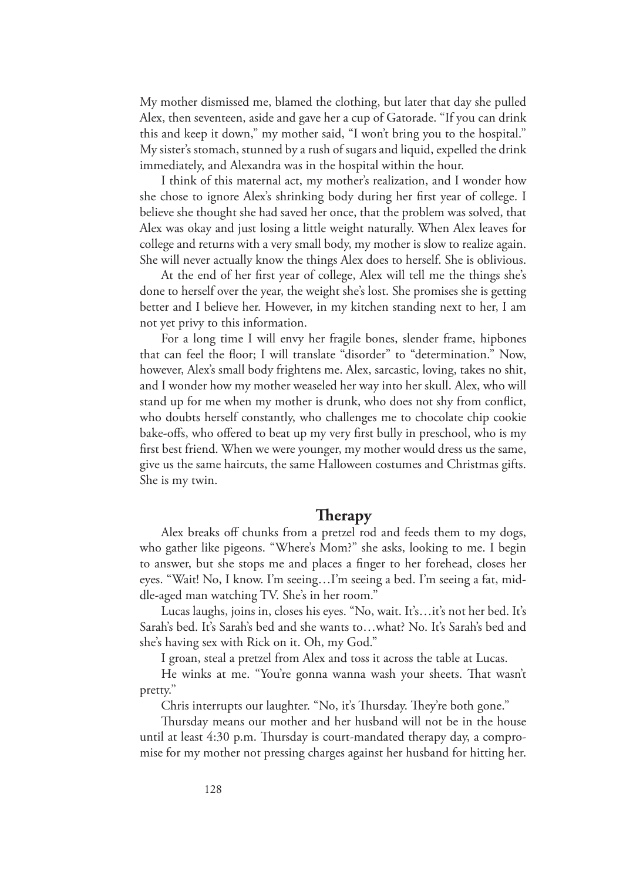My mother dismissed me, blamed the clothing, but later that day she pulled Alex, then seventeen, aside and gave her a cup of Gatorade. "If you can drink this and keep it down," my mother said, "I won't bring you to the hospital." My sister's stomach, stunned by a rush of sugars and liquid, expelled the drink immediately, and Alexandra was in the hospital within the hour.

I think of this maternal act, my mother's realization, and I wonder how she chose to ignore Alex's shrinking body during her first year of college. I believe she thought she had saved her once, that the problem was solved, that Alex was okay and just losing a little weight naturally. When Alex leaves for college and returns with a very small body, my mother is slow to realize again. She will never actually know the things Alex does to herself. She is oblivious.

At the end of her first year of college, Alex will tell me the things she's done to herself over the year, the weight she's lost. She promises she is getting better and I believe her. However, in my kitchen standing next to her, I am not yet privy to this information.

For a long time I will envy her fragile bones, slender frame, hipbones that can feel the floor; I will translate "disorder" to "determination." Now, however, Alex's small body frightens me. Alex, sarcastic, loving, takes no shit, and I wonder how my mother weaseled her way into her skull. Alex, who will stand up for me when my mother is drunk, who does not shy from conflict, who doubts herself constantly, who challenges me to chocolate chip cookie bake-offs, who offered to beat up my very first bully in preschool, who is my first best friend. When we were younger, my mother would dress us the same, give us the same haircuts, the same Halloween costumes and Christmas gifts. She is my twin.

### **Therapy**

Alex breaks off chunks from a pretzel rod and feeds them to my dogs, who gather like pigeons. "Where's Mom?" she asks, looking to me. I begin to answer, but she stops me and places a finger to her forehead, closes her eyes. "Wait! No, I know. I'm seeing…I'm seeing a bed. I'm seeing a fat, middle-aged man watching TV. She's in her room."

Lucas laughs, joins in, closes his eyes. "No, wait. It's…it's not her bed. It's Sarah's bed. It's Sarah's bed and she wants to…what? No. It's Sarah's bed and she's having sex with Rick on it. Oh, my God."

I groan, steal a pretzel from Alex and toss it across the table at Lucas.

He winks at me. "You're gonna wanna wash your sheets. That wasn't pretty."

Chris interrupts our laughter. "No, it's Thursday. They're both gone."

Thursday means our mother and her husband will not be in the house until at least 4:30 p.m. Thursday is court-mandated therapy day, a compromise for my mother not pressing charges against her husband for hitting her.